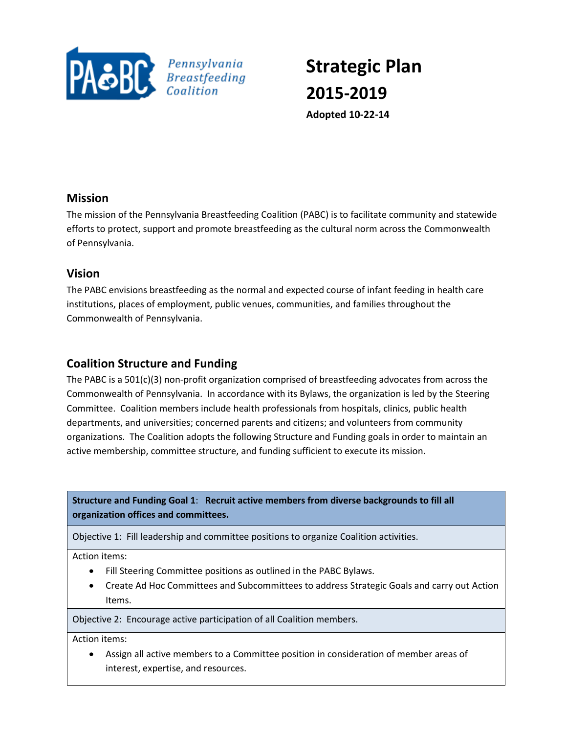

# **Strategic Plan 2015-2019 Adopted 10-22-14**

## **Mission**

The mission of the Pennsylvania Breastfeeding Coalition (PABC) is to facilitate community and statewide efforts to protect, support and promote breastfeeding as the cultural norm across the Commonwealth of Pennsylvania.

## **Vision**

The PABC envisions breastfeeding as the normal and expected course of infant feeding in health care institutions, places of employment, public venues, communities, and families throughout the Commonwealth of Pennsylvania.

## **Coalition Structure and Funding**

The PABC is a 501(c)(3) non-profit organization comprised of breastfeeding advocates from across the Commonwealth of Pennsylvania. In accordance with its Bylaws, the organization is led by the Steering Committee. Coalition members include health professionals from hospitals, clinics, public health departments, and universities; concerned parents and citizens; and volunteers from community organizations. The Coalition adopts the following Structure and Funding goals in order to maintain an active membership, committee structure, and funding sufficient to execute its mission.

**Structure and Funding Goal 1**: **Recruit active members from diverse backgrounds to fill all organization offices and committees.**

Objective 1: Fill leadership and committee positions to organize Coalition activities.

Action items:

- Fill Steering Committee positions as outlined in the PABC Bylaws.
- Create Ad Hoc Committees and Subcommittees to address Strategic Goals and carry out Action Items.

Objective 2: Encourage active participation of all Coalition members.

Action items:

 Assign all active members to a Committee position in consideration of member areas of interest, expertise, and resources.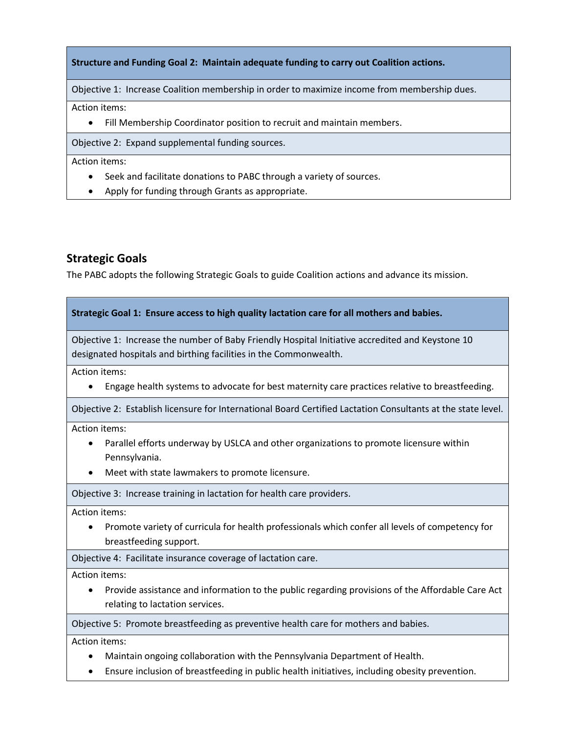**Structure and Funding Goal 2: Maintain adequate funding to carry out Coalition actions.**

Objective 1: Increase Coalition membership in order to maximize income from membership dues.

Action items:

Fill Membership Coordinator position to recruit and maintain members.

Objective 2: Expand supplemental funding sources.

Action items:

- Seek and facilitate donations to PABC through a variety of sources.
- Apply for funding through Grants as appropriate.

#### **Strategic Goals**

The PABC adopts the following Strategic Goals to guide Coalition actions and advance its mission.

| Strategic Goal 1: Ensure access to high quality lactation care for all mothers and babies.                                                                                                            |
|-------------------------------------------------------------------------------------------------------------------------------------------------------------------------------------------------------|
| Objective 1: Increase the number of Baby Friendly Hospital Initiative accredited and Keystone 10<br>designated hospitals and birthing facilities in the Commonwealth.                                 |
| Action items:<br>Engage health systems to advocate for best maternity care practices relative to breastfeeding.                                                                                       |
| Objective 2: Establish licensure for International Board Certified Lactation Consultants at the state level.                                                                                          |
| Action items:<br>Parallel efforts underway by USLCA and other organizations to promote licensure within<br>$\bullet$<br>Pennsylvania.<br>Meet with state lawmakers to promote licensure.<br>$\bullet$ |
| Objective 3: Increase training in lactation for health care providers.                                                                                                                                |
| Action items:<br>Promote variety of curricula for health professionals which confer all levels of competency for<br>breastfeeding support.                                                            |
| Objective 4: Facilitate insurance coverage of lactation care.                                                                                                                                         |
| Action items:<br>Provide assistance and information to the public regarding provisions of the Affordable Care Act<br>$\bullet$<br>relating to lactation services.                                     |
| Objective 5: Promote breastfeeding as preventive health care for mothers and babies.                                                                                                                  |
| Action items:<br>Alaintain ongoing collaboration with the Dennsylvania Department of Health                                                                                                           |

- Maintain ongoing collaboration with the Pennsylvania Department of Health.
- Ensure inclusion of breastfeeding in public health initiatives, including obesity prevention.